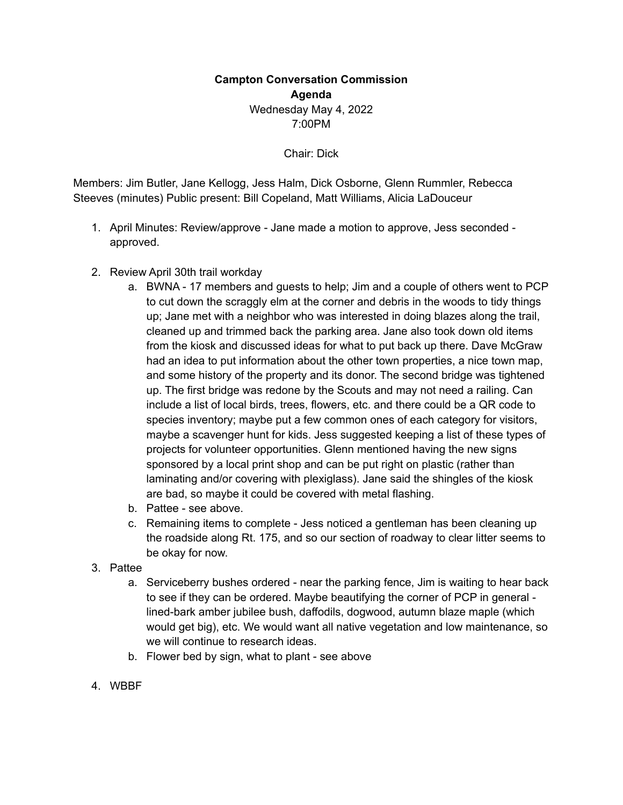## **Campton Conversation Commission Agenda** Wednesday May 4, 2022 7:00PM

Chair: Dick

Members: Jim Butler, Jane Kellogg, Jess Halm, Dick Osborne, Glenn Rummler, Rebecca Steeves (minutes) Public present: Bill Copeland, Matt Williams, Alicia LaDouceur

- 1. April Minutes: Review/approve Jane made a motion to approve, Jess seconded approved.
- 2. Review April 30th trail workday
	- a. BWNA 17 members and guests to help; Jim and a couple of others went to PCP to cut down the scraggly elm at the corner and debris in the woods to tidy things up; Jane met with a neighbor who was interested in doing blazes along the trail, cleaned up and trimmed back the parking area. Jane also took down old items from the kiosk and discussed ideas for what to put back up there. Dave McGraw had an idea to put information about the other town properties, a nice town map, and some history of the property and its donor. The second bridge was tightened up. The first bridge was redone by the Scouts and may not need a railing. Can include a list of local birds, trees, flowers, etc. and there could be a QR code to species inventory; maybe put a few common ones of each category for visitors, maybe a scavenger hunt for kids. Jess suggested keeping a list of these types of projects for volunteer opportunities. Glenn mentioned having the new signs sponsored by a local print shop and can be put right on plastic (rather than laminating and/or covering with plexiglass). Jane said the shingles of the kiosk are bad, so maybe it could be covered with metal flashing.
	- b. Pattee see above.
	- c. Remaining items to complete Jess noticed a gentleman has been cleaning up the roadside along Rt. 175, and so our section of roadway to clear litter seems to be okay for now.
- 3. Pattee
	- a. Serviceberry bushes ordered near the parking fence, Jim is waiting to hear back to see if they can be ordered. Maybe beautifying the corner of PCP in general lined-bark amber jubilee bush, daffodils, dogwood, autumn blaze maple (which would get big), etc. We would want all native vegetation and low maintenance, so we will continue to research ideas.
	- b. Flower bed by sign, what to plant see above
- 4. WBBF